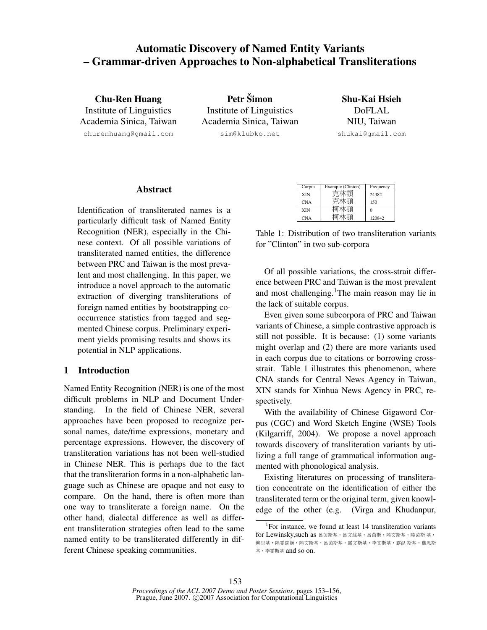# Automatic Discovery of Named Entity Variants – Grammar-driven Approaches to Non-alphabetical Transliterations

Chu-Ren Huang Institute of Linguistics Academia Sinica, Taiwan churenhuang@gmail.com

Petr Šimon Institute of Linguistics Academia Sinica, Taiwan sim@klubko.net

Shu-Kai Hsieh DoFLAL NIU, Taiwan shukai@gmail.com

## Abstract

Identification of transliterated names is a particularly difficult task of Named Entity Recognition (NER), especially in the Chinese context. Of all possible variations of transliterated named entities, the difference between PRC and Taiwan is the most prevalent and most challenging. In this paper, we introduce a novel approach to the automatic extraction of diverging transliterations of foreign named entities by bootstrapping cooccurrence statistics from tagged and segmented Chinese corpus. Preliminary experiment yields promising results and shows its potential in NLP applications.

# 1 Introduction

Named Entity Recognition (NER) is one of the most difficult problems in NLP and Document Understanding. In the field of Chinese NER, several approaches have been proposed to recognize personal names, date/time expressions, monetary and percentage expressions. However, the discovery of transliteration variations has not been well-studied in Chinese NER. This is perhaps due to the fact that the transliteration forms in a non-alphabetic language such as Chinese are opaque and not easy to compare. On the hand, there is often more than one way to transliterate a foreign name. On the other hand, dialectal difference as well as different transliteration strategies often lead to the same named entity to be transliterated differently in different Chinese speaking communities.

| Corpus     | Example (Clinton) | Frequency |
|------------|-------------------|-----------|
| <b>XIN</b> |                   | 24382     |
| <b>CNA</b> |                   | 150       |
| <b>XIN</b> |                   |           |
| <b>CNA</b> |                   | 120842    |
|            |                   |           |

Table 1: Distribution of two transliteration variants for "Clinton" in two sub-corpora

Of all possible variations, the cross-strait difference between PRC and Taiwan is the most prevalent and most challenging.<sup>1</sup>The main reason may lie in the lack of suitable corpus.

Even given some subcorpora of PRC and Taiwan variants of Chinese, a simple contrastive approach is still not possible. It is because: (1) some variants might overlap and (2) there are more variants used in each corpus due to citations or borrowing crossstrait. Table 1 illustrates this phenomenon, where CNA stands for Central News Agency in Taiwan, XIN stands for Xinhua News Agency in PRC, respectively.

With the availability of Chinese Gigaword Corpus (CGC) and Word Sketch Engine (WSE) Tools (Kilgarriff, 2004). We propose a novel approach towards discovery of transliteration variants by utilizing a full range of grammatical information augmented with phonological analysis.

Existing literatures on processing of transliteration concentrate on the identification of either the transliterated term or the original term, given knowledge of the other (e.g. (Virga and Khudanpur,

<sup>&</sup>lt;sup>1</sup>For instance, we found at least 14 transliteration variants for Lewinsky, such as 呂茵斯基,呂文絲基,呂茵斯,陸文斯基,陸茵斯基, 柳思基,陸雯絲姬,陸文斯基,呂茵斯基,露文斯基,李文斯基,露<sup>溫</sup> <sup>斯</sup>基,蘿恩<sup>斯</sup> <sup>基</sup>,李雯斯<sup>基</sup> and so on.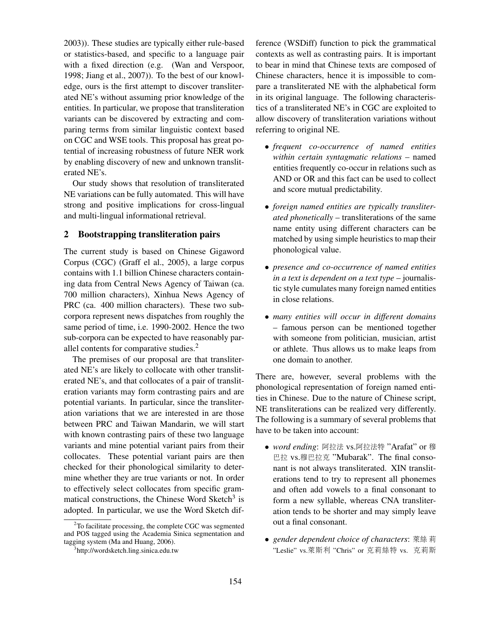2003)). These studies are typically either rule-based or statistics-based, and specific to a language pair with a fixed direction (e.g. (Wan and Verspoor, 1998; Jiang et al., 2007)). To the best of our knowledge, ours is the first attempt to discover transliterated NE's without assuming prior knowledge of the entities. In particular, we propose that transliteration variants can be discovered by extracting and comparing terms from similar linguistic context based on CGC and WSE tools. This proposal has great potential of increasing robustness of future NER work by enabling discovery of new and unknown transliterated NE's.

Our study shows that resolution of transliterated NE variations can be fully automated. This will have strong and positive implications for cross-lingual and multi-lingual informational retrieval.

# 2 Bootstrapping transliteration pairs

The current study is based on Chinese Gigaword Corpus (CGC) (Graff el al., 2005), a large corpus contains with 1.1 billion Chinese characters containing data from Central News Agency of Taiwan (ca. 700 million characters), Xinhua News Agency of PRC (ca. 400 million characters). These two subcorpora represent news dispatches from roughly the same period of time, i.e. 1990-2002. Hence the two sub-corpora can be expected to have reasonably parallel contents for comparative studies.<sup>2</sup>

The premises of our proposal are that transliterated NE's are likely to collocate with other transliterated NE's, and that collocates of a pair of transliteration variants may form contrasting pairs and are potential variants. In particular, since the transliteration variations that we are interested in are those between PRC and Taiwan Mandarin, we will start with known contrasting pairs of these two language variants and mine potential variant pairs from their collocates. These potential variant pairs are then checked for their phonological similarity to determine whether they are true variants or not. In order to effectively select collocates from specific grammatical constructions, the Chinese Word Sketch<sup>3</sup> is adopted. In particular, we use the Word Sketch difference (WSDiff) function to pick the grammatical contexts as well as contrasting pairs. It is important to bear in mind that Chinese texts are composed of Chinese characters, hence it is impossible to compare a transliterated NE with the alphabetical form in its original language. The following characteristics of a transliterated NE's in CGC are exploited to allow discovery of transliteration variations without referring to original NE.

- *frequent co-occurrence of named entities within certain syntagmatic relations* – named entities frequently co-occur in relations such as AND or OR and this fact can be used to collect and score mutual predictability.
- *foreign named entities are typically transliterated phonetically* – transliterations of the same name entity using different characters can be matched by using simple heuristics to map their phonological value.
- *presence and co-occurrence of named entities in a text is dependent on a text type* – journalistic style cumulates many foreign named entities in close relations.
- *many entities will occur in different domains* – famous person can be mentioned together with someone from politician, musician, artist or athlete. Thus allows us to make leaps from one domain to another.

There are, however, several problems with the phonological representation of foreign named entities in Chinese. Due to the nature of Chinese script, NE transliterations can be realized very differently. The following is a summary of several problems that have to be taken into account:

- *word ending*: <sup>阿</sup>拉<sup>法</sup> vs.阿拉法特 "Arafat" or <sup>穆</sup> <sup>巴</sup>拉 vs.穆巴拉<sup>克</sup> "Mubarak". The final consonant is not always transliterated. XIN transliterations tend to try to represent all phonemes and often add vowels to a final consonant to form a new syllable, whereas CNA transliteration tends to be shorter and may simply leave out a final consonant.
- *gender dependent choice of characters*: 萊絲 莉 "Leslie" vs.萊斯<sup>利</sup> "Chris" or <sup>克</sup>莉絲特 vs. <sup>克</sup>莉<sup>斯</sup>

<sup>&</sup>lt;sup>2</sup>To facilitate processing, the complete CGC was segmented and POS tagged using the Academia Sinica segmentation and tagging system (Ma and Huang, 2006).

<sup>3</sup> http://wordsketch.ling.sinica.edu.tw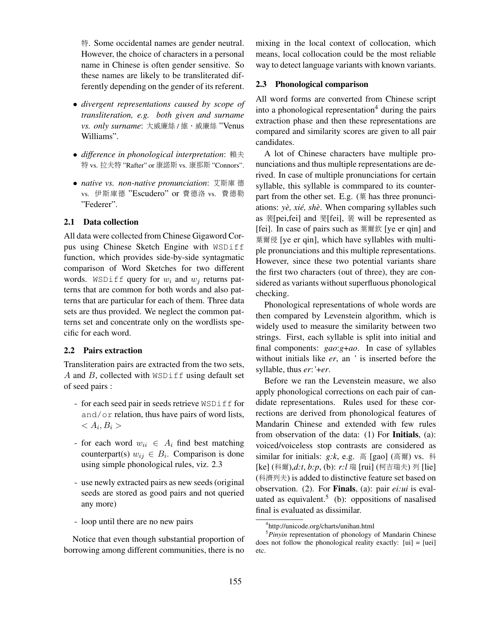特. Some occidental names are gender neutral. However, the choice of characters in a personal name in Chinese is often gender sensitive. So these names are likely to be transliterated differently depending on the gender of its referent.

- *divergent representations caused by scope of transliteration, e.g. both given and surname vs. only surname*: 大威廉<sup>絲</sup> / <sup>維</sup>‧威廉<sup>絲</sup> "Venus Williams".
- *difference in phonological interpretation*: <sup>賴</sup>夫 特 vs. 拉夫特 "Rafter" or <sup>康</sup>諾<sup>斯</sup> vs. <sup>康</sup>那<sup>斯</sup> "Connors".
- *native vs. non-native pronunciation*: <sup>艾</sup>斯<sup>庫</sup> 德 vs. 伊斯庫德 "Escudero" or <sup>費</sup>德<sup>洛</sup> vs. <sup>費</sup>德<sup>勒</sup> "Federer".

### 2.1 Data collection

All data were collected from Chinese Gigaword Corpus using Chinese Sketch Engine with WSDiff function, which provides side-by-side syntagmatic comparison of Word Sketches for two different words. WSDiff query for  $w_i$  and  $w_j$  returns patterns that are common for both words and also patterns that are particular for each of them. Three data sets are thus provided. We neglect the common patterns set and concentrate only on the wordlists specific for each word.

# 2.2 Pairs extraction

Transliteration pairs are extracted from the two sets, A and  $B$ , collected with  $WSDiff$  using default set of seed pairs :

- for each seed pair in seeds retrieve WSDiff for and/or relation, thus have pairs of word lists,  $\langle A_i, B_i \rangle$
- for each word  $w_{ii} \in A_i$  find best matching counterpart(s)  $w_{ij} \in B_i$ . Comparison is done using simple phonological rules, viz. 2.3
- use newly extracted pairs as new seeds (original seeds are stored as good pairs and not queried any more)
- loop until there are no new pairs

Notice that even though substantial proportion of borrowing among different communities, there is no

mixing in the local context of collocation, which means, local collocation could be the most reliable way to detect language variants with known variants.

#### 2.3 Phonological comparison

All word forms are converted from Chinese script into a phonological representation<sup>4</sup> during the pairs extraction phase and then these representations are compared and similarity scores are given to all pair candidates.

A lot of Chinese characters have multiple pronunciations and thus multiple representations are derived. In case of multiple pronunciations for certain syllable, this syllable is commpared to its counterpart from the other set. E.g. (葉 has three pronunciations: *yè*, *xié*, *shè*. When comparing syllables such as 裴[pei,fei] and 斐[fei], 裴 will be represented as [fei]. In case of pairs such as <sup>葉</sup>爾欽 [ye er qin] and 葉爾侵 [ye er qin], which have syllables with multiple pronunciations and this multiple representations. However, since these two potential variants share the first two characters (out of three), they are considered as variants without superfluous phonological checking.

Phonological representations of whole words are then compared by Levenstein algorithm, which is widely used to measure the similarity between two strings. First, each syllable is split into initial and final components: *gao*:*g*+*ao*. In case of syllables without initials like *er*, an *'* is inserted before the syllable, thus *er*:*'*+*er*.

Before we ran the Levenstein measure, we also apply phonological corrections on each pair of candidate representations. Rules used for these corrections are derived from phonological features of Mandarin Chinese and extended with few rules from observation of the data: (1) For Initials, (a): voiced/voiceless stop contrasts are considered as similar for initials: *g:k*, e.g. <sup>高</sup> [gao] (高爾) vs. <sup>科</sup> [ke] (科爾),*d:t*, *b:p*, (b): *r:l* 瑞 [rui] (柯吉瑞夫) <sup>列</sup> [lie] (科濟列夫) is added to distinctive feature set based on observation. (2). For Finals, (a): pair *ei:ui* is evaluated as equivalent.<sup>5</sup> (b): oppositions of nasalised final is evaluated as dissimilar.

<sup>4</sup> http://unicode.org/charts/unihan.html

<sup>5</sup>*Pinyin* representation of phonology of Mandarin Chinese does not follow the phonological reality exactly: [ui] = [uei] etc.